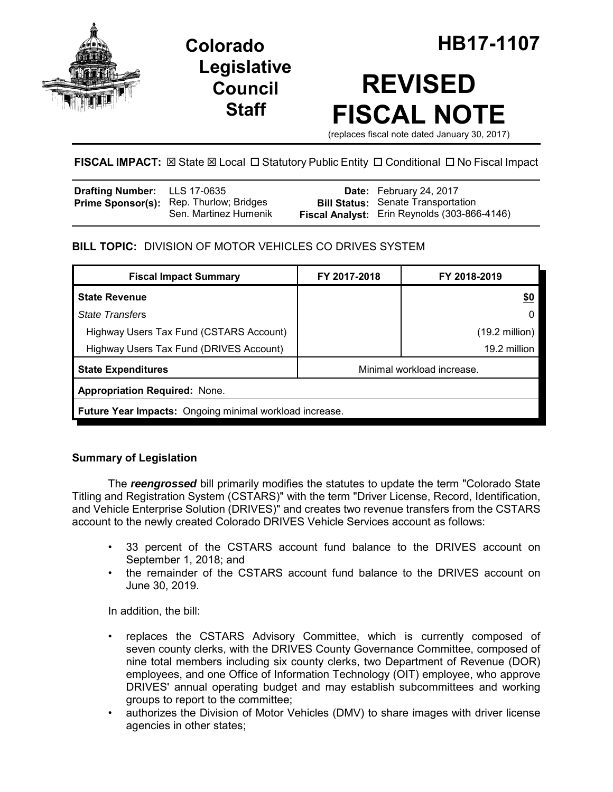

## **Legislative Council Staff**



# **REVISED FISCAL NOTE**

(replaces fiscal note dated January 30, 2017)

## **FISCAL IMPACT:**  $\boxtimes$  **State**  $\boxtimes$  **Local □ Statutory Public Entity □ Conditional □ No Fiscal Impact**

| Drafting Number: LLS 17-0635 |                                                                         | Date: February 24, 2017                                                                   |
|------------------------------|-------------------------------------------------------------------------|-------------------------------------------------------------------------------------------|
|                              | <b>Prime Sponsor(s):</b> Rep. Thurlow; Bridges<br>Sen. Martinez Humenik | <b>Bill Status:</b> Senate Transportation<br>Fiscal Analyst: Erin Reynolds (303-866-4146) |

## **BILL TOPIC:** DIVISION OF MOTOR VEHICLES CO DRIVES SYSTEM

| <b>Fiscal Impact Summary</b>                            | FY 2017-2018               | FY 2018-2019             |  |  |  |
|---------------------------------------------------------|----------------------------|--------------------------|--|--|--|
| <b>State Revenue</b>                                    |                            | <u>\$0</u>               |  |  |  |
| <b>State Transfers</b>                                  |                            | 0                        |  |  |  |
| Highway Users Tax Fund (CSTARS Account)                 |                            | $(19.2 \text{ million})$ |  |  |  |
| Highway Users Tax Fund (DRIVES Account)                 |                            | 19.2 million             |  |  |  |
| <b>State Expenditures</b>                               | Minimal workload increase. |                          |  |  |  |
| <b>Appropriation Required: None.</b>                    |                            |                          |  |  |  |
| Future Year Impacts: Ongoing minimal workload increase. |                            |                          |  |  |  |

## **Summary of Legislation**

The *reengrossed* bill primarily modifies the statutes to update the term "Colorado State Titling and Registration System (CSTARS)" with the term "Driver License, Record, Identification, and Vehicle Enterprise Solution (DRIVES)" and creates two revenue transfers from the CSTARS account to the newly created Colorado DRIVES Vehicle Services account as follows:

- 33 percent of the CSTARS account fund balance to the DRIVES account on September 1, 2018; and
- the remainder of the CSTARS account fund balance to the DRIVES account on June 30, 2019.

In addition, the bill:

- replaces the CSTARS Advisory Committee, which is currently composed of seven county clerks, with the DRIVES County Governance Committee, composed of nine total members including six county clerks, two Department of Revenue (DOR) employees, and one Office of Information Technology (OIT) employee, who approve DRIVES' annual operating budget and may establish subcommittees and working groups to report to the committee;
- authorizes the Division of Motor Vehicles (DMV) to share images with driver license agencies in other states;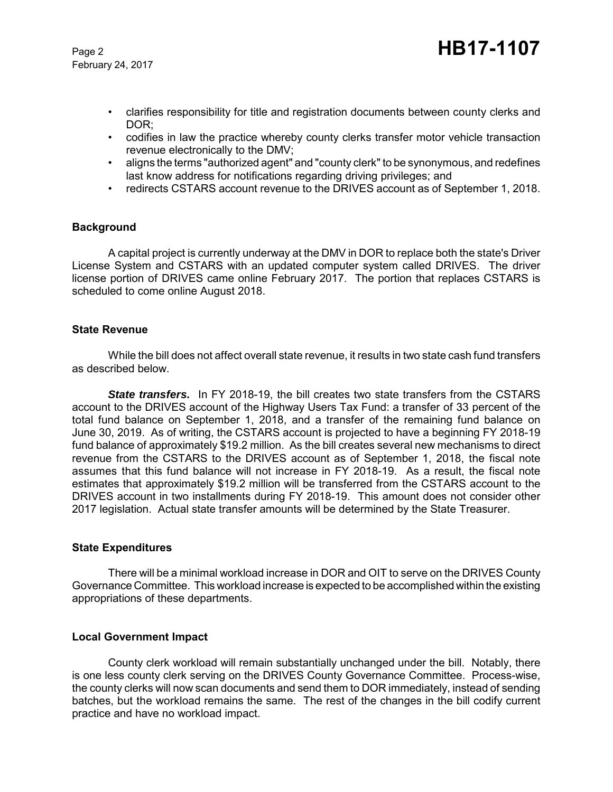February 24, 2017

- clarifies responsibility for title and registration documents between county clerks and DOR;
- codifies in law the practice whereby county clerks transfer motor vehicle transaction revenue electronically to the DMV;
- aligns the terms "authorized agent" and "county clerk" to be synonymous, and redefines last know address for notifications regarding driving privileges; and
- redirects CSTARS account revenue to the DRIVES account as of September 1, 2018.

#### **Background**

A capital project is currently underway at the DMV in DOR to replace both the state's Driver License System and CSTARS with an updated computer system called DRIVES. The driver license portion of DRIVES came online February 2017. The portion that replaces CSTARS is scheduled to come online August 2018.

#### **State Revenue**

While the bill does not affect overall state revenue, it results in two state cash fund transfers as described below.

**State transfers.** In FY 2018-19, the bill creates two state transfers from the CSTARS account to the DRIVES account of the Highway Users Tax Fund: a transfer of 33 percent of the total fund balance on September 1, 2018, and a transfer of the remaining fund balance on June 30, 2019. As of writing, the CSTARS account is projected to have a beginning FY 2018-19 fund balance of approximately \$19.2 million. As the bill creates several new mechanisms to direct revenue from the CSTARS to the DRIVES account as of September 1, 2018, the fiscal note assumes that this fund balance will not increase in FY 2018-19. As a result, the fiscal note estimates that approximately \$19.2 million will be transferred from the CSTARS account to the DRIVES account in two installments during FY 2018-19. This amount does not consider other 2017 legislation. Actual state transfer amounts will be determined by the State Treasurer.

#### **State Expenditures**

There will be a minimal workload increase in DOR and OIT to serve on the DRIVES County Governance Committee. This workload increase is expected to be accomplished within the existing appropriations of these departments.

#### **Local Government Impact**

County clerk workload will remain substantially unchanged under the bill. Notably, there is one less county clerk serving on the DRIVES County Governance Committee. Process-wise, the county clerks will now scan documents and send them to DOR immediately, instead of sending batches, but the workload remains the same. The rest of the changes in the bill codify current practice and have no workload impact.